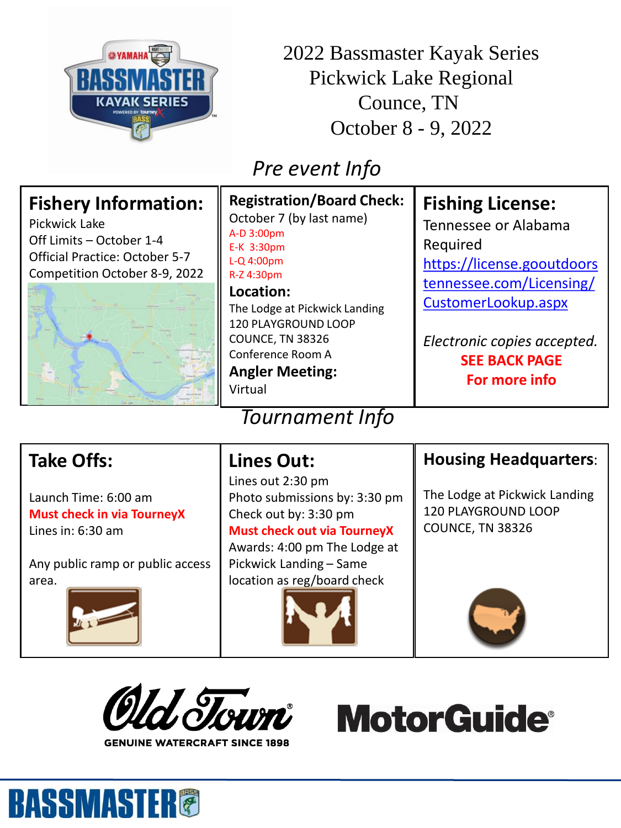

2022 Bassmaster Kayak Series Pickwick Lake Regional Counce, TN October 8 - 9, 2022

## *Pre event Info*

| <b>Fishery Information:</b><br>Pickwick Lake<br>Off Limits - October 1-4<br><b>Official Practice: October 5-7</b><br>Competition October 8-9, 2022 | <b>Registration/Board Check:</b><br>October 7 (by last name)<br>A-D 3:00pm<br>E-K 3:30pm<br>$L-Q$ 4:00pm<br>R-Z 4:30pm<br>Location:<br>The Lodge at Pickwick Landing<br>120 PLAYGROUND LOOP<br>COUNCE, TN 38326<br>Conference Room A<br><b>Angler Meeting:</b><br>Virtual<br><b>Tournament Info</b> | <b>Fishing License:</b><br>Tennessee or Alabama<br>Required<br>https://license.gooutdoors<br>tennessee.com/Licensing/<br>CustomerLookup.aspx<br>Electronic copies accepted.<br><b>SEE BACK PAGE</b><br>For more info |
|----------------------------------------------------------------------------------------------------------------------------------------------------|-----------------------------------------------------------------------------------------------------------------------------------------------------------------------------------------------------------------------------------------------------------------------------------------------------|----------------------------------------------------------------------------------------------------------------------------------------------------------------------------------------------------------------------|
| <b>Take Offs:</b>                                                                                                                                  | <b>Lines Out:</b><br>Lines out 2:30 pm                                                                                                                                                                                                                                                              | <b>Housing Headquarters:</b><br>.                                                                                                                                                                                    |

Launch Time: 6:00 am **Must check in via TourneyX** Lines in: 6:30 am

Any public ramp or public access area.



Photo submissions by: 3:30 pm Check out by: 3:30 pm **Must check out via TourneyX** Awards: 4:00 pm The Lodge at Pickwick Landing – Same location as reg/board check



The Lodge at Pickwick Landing 120 PLAYGROUND LOOP COUNCE, TN 38326